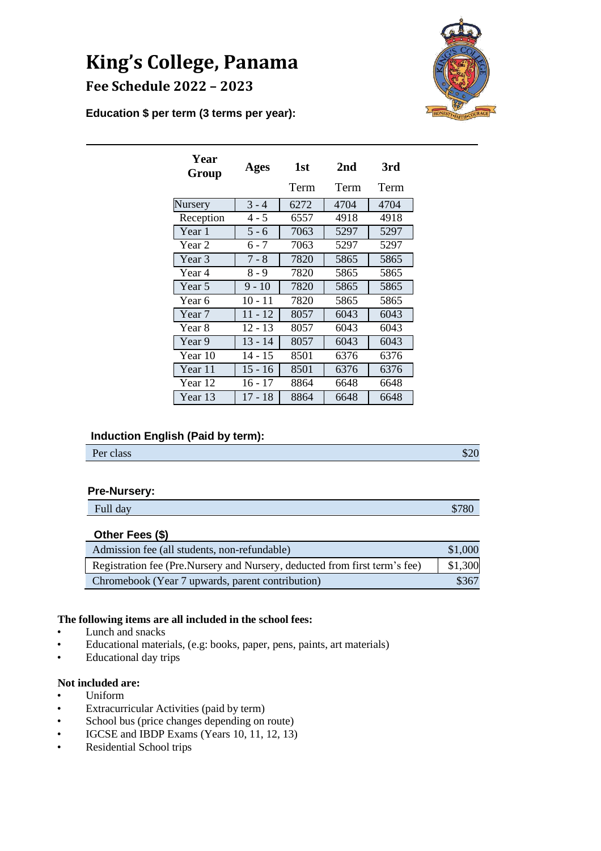# **King's College, Panama Fee Schedule 2022 – 2023**



**Education \$ per term (3 terms per year):**

| Year<br>Group  | Ages      | 1st  | 2nd  | 3rd  |
|----------------|-----------|------|------|------|
|                |           | Term | Term | Term |
| <b>Nursery</b> | $3 - 4$   | 6272 | 4704 | 4704 |
| Reception      | 4 - 5     | 6557 | 4918 | 4918 |
| Year 1         | $5 - 6$   | 7063 | 5297 | 5297 |
| Year 2         | 6 - 7     | 7063 | 5297 | 5297 |
| Year 3         | $7 - 8$   | 7820 | 5865 | 5865 |
| Year 4         | $8 - 9$   | 7820 | 5865 | 5865 |
| Year 5         | $9 - 10$  | 7820 | 5865 | 5865 |
| Year 6         | 10 - 11   | 7820 | 5865 | 5865 |
| Year 7         | $11 - 12$ | 8057 | 6043 | 6043 |
| Year 8         | $12 - 13$ | 8057 | 6043 | 6043 |
| Year 9         | $13 - 14$ | 8057 | 6043 | 6043 |
| Year 10        | $14 - 15$ | 8501 | 6376 | 6376 |
| Year 11        | $15 - 16$ | 8501 | 6376 | 6376 |
| Year 12        | 16 - 17   | 8864 | 6648 | 6648 |
| Year 13        | 17 - 18   | 8864 | 6648 | 6648 |

# **Induction English (Paid by term):**

| Per class | $\sim$<br>Φ∠∪ |
|-----------|---------------|
|           |               |

# **Pre-Nursery:**

|          | __ |   |
|----------|----|---|
| Full day |    | Φ |
|          |    |   |

# **Other Fees (\$)**

| Admission fee (all students, non-refundable)                               | \$1,000 |
|----------------------------------------------------------------------------|---------|
| Registration fee (Pre.Nursery and Nursery, deducted from first term's fee) | \$1,300 |
| Chromebook (Year 7 upwards, parent contribution)                           | \$367   |

## **The following items are all included in the school fees:**

- Lunch and snacks
- Educational materials, (e.g: books, paper, pens, paints, art materials)
- Educational day trips

# **Not included are:**

- Uniform
- Extracurricular Activities (paid by term)
- School bus (price changes depending on route)
- IGCSE and IBDP Exams (Years 10, 11, 12, 13)
- Residential School trips